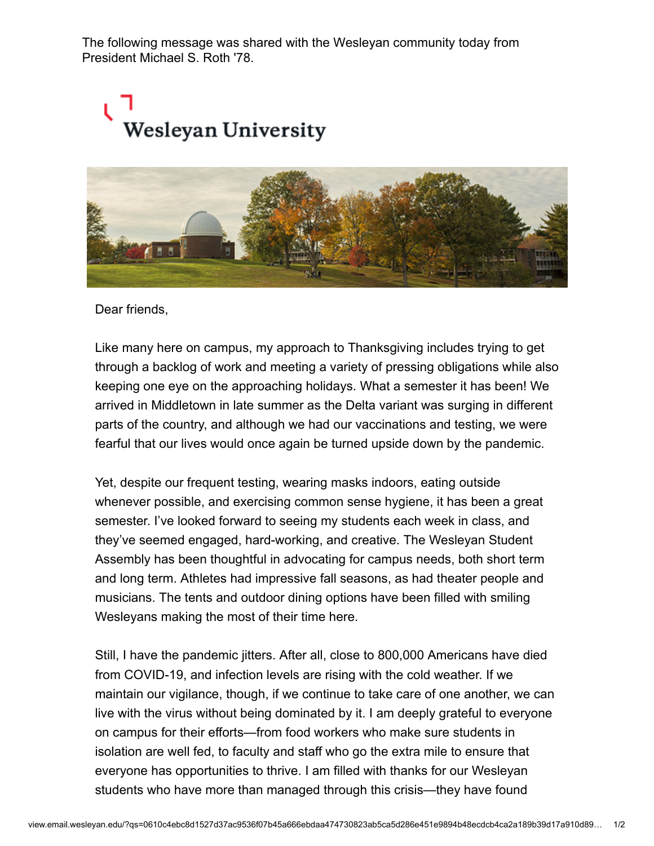The following message was shared with the Wesleyan community today from President Michael S. Roth '78.

## .<br>Wesleyan University



Dear friends,

Like many here on campus, my approach to Thanksgiving includes trying to get through a backlog of work and meeting a variety of pressing obligations while also keeping one eye on the approaching holidays. What a semester it has been! We arrived in Middletown in late summer as the Delta variant was surging in different parts of the country, and although we had our vaccinations and testing, we were fearful that our lives would once again be turned upside down by the pandemic.

Yet, despite our frequent testing, wearing masks indoors, eating outside whenever possible, and exercising common sense hygiene, it has been a great semester. I've looked forward to seeing my students each week in class, and they've seemed engaged, hard-working, and creative. The Wesleyan Student Assembly has been thoughtful in advocating for campus needs, both short term and long term. Athletes had impressive fall seasons, as had theater people and musicians. The tents and outdoor dining options have been filled with smiling Wesleyans making the most of their time here.

Still, I have the pandemic jitters. After all, close to 800,000 Americans have died from COVID-19, and infection levels are rising with the cold weather. If we maintain our vigilance, though, if we continue to take care of one another, we can live with the virus without being dominated by it. I am deeply grateful to everyone on campus for their efforts—from food workers who make sure students in isolation are well fed, to faculty and staff who go the extra mile to ensure that everyone has opportunities to thrive. I am filled with thanks for our Wesleyan students who have more than managed through this crisis—they have found